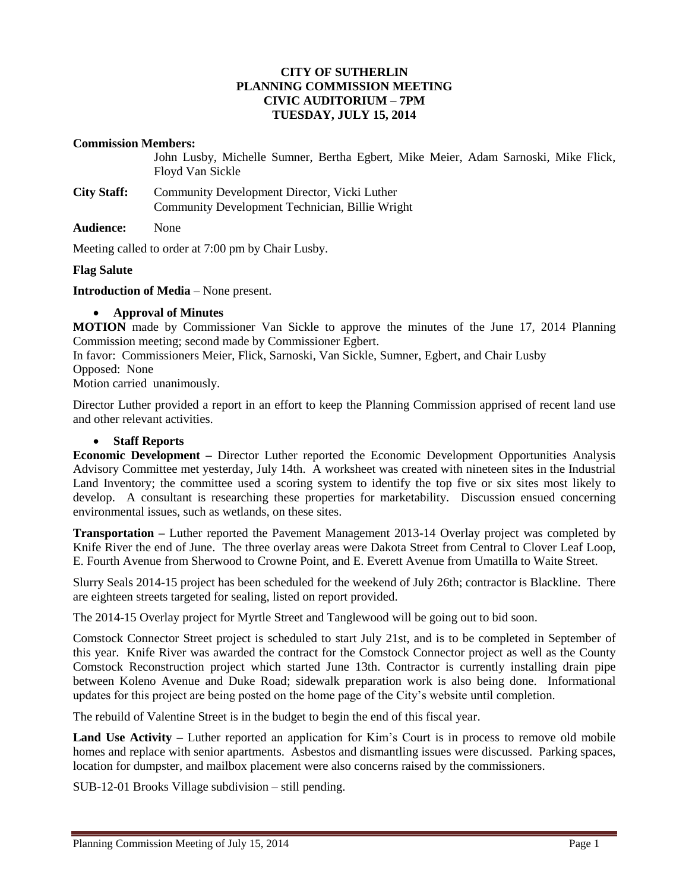## **CITY OF SUTHERLIN PLANNING COMMISSION MEETING CIVIC AUDITORIUM – 7PM TUESDAY, JULY 15, 2014**

#### **Commission Members:**

John Lusby, Michelle Sumner, Bertha Egbert, Mike Meier, Adam Sarnoski, Mike Flick, Floyd Van Sickle

**City Staff:** Community Development Director, Vicki Luther Community Development Technician, Billie Wright

**Audience:** None

Meeting called to order at 7:00 pm by Chair Lusby.

### **Flag Salute**

**Introduction of Media** – None present.

#### **Approval of Minutes**

**MOTION** made by Commissioner Van Sickle to approve the minutes of the June 17, 2014 Planning Commission meeting; second made by Commissioner Egbert.

In favor: Commissioners Meier, Flick, Sarnoski, Van Sickle, Sumner, Egbert, and Chair Lusby Opposed:None

Motion carried unanimously.

Director Luther provided a report in an effort to keep the Planning Commission apprised of recent land use and other relevant activities.

#### **Staff Reports**

**Economic Development –** Director Luther reported the Economic Development Opportunities Analysis Advisory Committee met yesterday, July 14th. A worksheet was created with nineteen sites in the Industrial Land Inventory; the committee used a scoring system to identify the top five or six sites most likely to develop. A consultant is researching these properties for marketability. Discussion ensued concerning environmental issues, such as wetlands, on these sites.

**Transportation –** Luther reported the Pavement Management 2013-14 Overlay project was completed by Knife River the end of June. The three overlay areas were Dakota Street from Central to Clover Leaf Loop, E. Fourth Avenue from Sherwood to Crowne Point, and E. Everett Avenue from Umatilla to Waite Street.

Slurry Seals 2014-15 project has been scheduled for the weekend of July 26th; contractor is Blackline. There are eighteen streets targeted for sealing, listed on report provided.

The 2014-15 Overlay project for Myrtle Street and Tanglewood will be going out to bid soon.

Comstock Connector Street project is scheduled to start July 21st, and is to be completed in September of this year. Knife River was awarded the contract for the Comstock Connector project as well as the County Comstock Reconstruction project which started June 13th. Contractor is currently installing drain pipe between Koleno Avenue and Duke Road; sidewalk preparation work is also being done. Informational updates for this project are being posted on the home page of the City's website until completion.

The rebuild of Valentine Street is in the budget to begin the end of this fiscal year.

**Land Use Activity –** Luther reported an application for Kim's Court is in process to remove old mobile homes and replace with senior apartments. Asbestos and dismantling issues were discussed. Parking spaces, location for dumpster, and mailbox placement were also concerns raised by the commissioners.

SUB-12-01 Brooks Village subdivision – still pending.